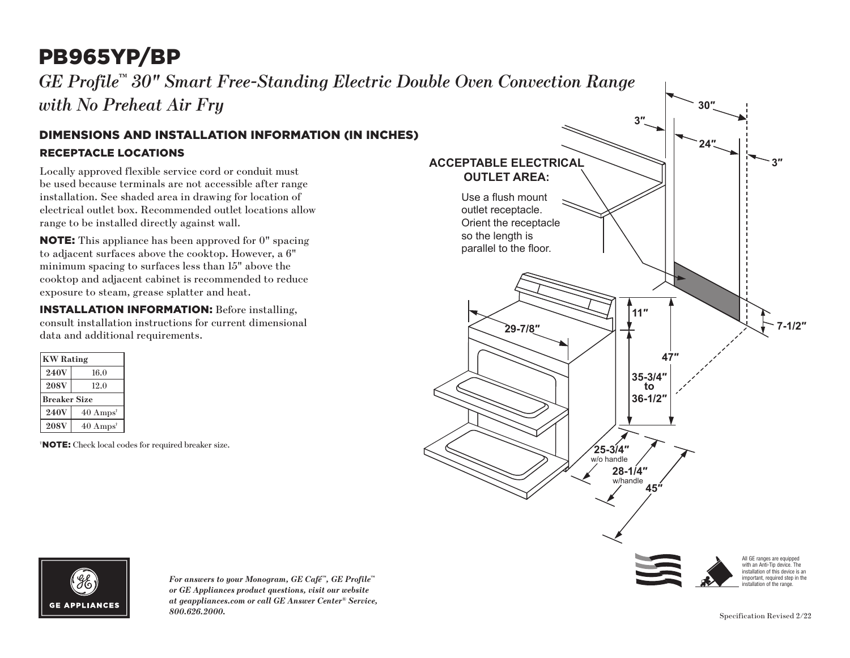# PB965YP/BP

*GE Profile™ 30" Smart Free-Standing Electric Double Oven Convection Range with No Preheat Air Fry*

#### RECEPTACLE LOCATIONS DIMENSIONS AND INSTALLATION INFORMATION (IN INCHES)

Locally approved flexible service cord or conduit must be used because terminals are not accessible after range installation. See shaded area in drawing for location of electrical outlet box. Recommended outlet locations allow range to be installed directly against wall.

NOTE: This appliance has been approved for 0" spacing to adjacent surfaces above the cooktop. However, a 6" minimum spacing to surfaces less than 15" above the cooktop and adjacent cabinet is recommended to reduce exposure to steam, grease splatter and heat.

INSTALLATION INFORMATION: Before installing, consult installation instructions for current dimensional data and additional requirements.

| <b>KW</b> Rating    |                             |
|---------------------|-----------------------------|
| <b>240V</b>         | 16.0                        |
| <b>208V</b>         | 12.0                        |
| <b>Breaker Size</b> |                             |
| <b>240V</b>         | $40 \text{ Amps}^{\dagger}$ |
| <b>208V</b>         | $40 \text{ Amps}^{\dagger}$ |

† NOTE: Check local codes for required breaker size.





*For answers to your Monogram, GE Café™, GE Profile™ or GE Appliances product questions, visit our website at geappliances.com or call GE Answer Center® Service, 800.626.2000.* Specification Revised 2/22